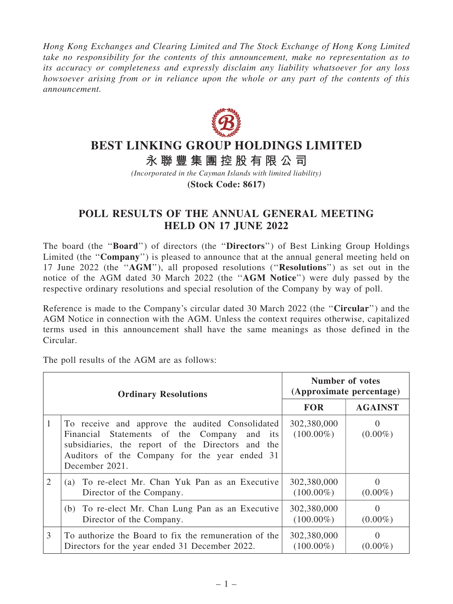Hong Kong Exchanges and Clearing Limited and The Stock Exchange of Hong Kong Limited take no responsibility for the contents of this announcement, make no representation as to its accuracy or completeness and expressly disclaim any liability whatsoever for any loss howsoever arising from or in reliance upon the whole or any part of the contents of this announcement.



## **BEST LINKING GROUP HOLDINGS LIMITED**

**永 聯 豐 集 團 控 股 有 限 公 司**

*(Incorporated in the Cayman Islands with limited liability)*

**(Stock Code: 8617)**

## POLL RESULTS OF THE ANNUAL GENERAL MEETING HELD ON 17 JUNE 2022

The board (the ''Board'') of directors (the ''Directors'') of Best Linking Group Holdings Limited (the "Company") is pleased to announce that at the annual general meeting held on 17 June 2022 (the ''AGM''), all proposed resolutions (''Resolutions'') as set out in the notice of the AGM dated 30 March 2022 (the ''AGM Notice'') were duly passed by the respective ordinary resolutions and special resolution of the Company by way of poll.

Reference is made to the Company's circular dated 30 March 2022 (the "Circular") and the AGM Notice in connection with the AGM. Unless the context requires otherwise, capitalized terms used in this announcement shall have the same meanings as those defined in the Circular.

The poll results of the AGM are as follows:

| <b>Ordinary Resolutions</b> |                                                                                                                                                                                                                           | <b>Number of votes</b><br>(Approximate percentage) |                        |
|-----------------------------|---------------------------------------------------------------------------------------------------------------------------------------------------------------------------------------------------------------------------|----------------------------------------------------|------------------------|
|                             |                                                                                                                                                                                                                           | <b>FOR</b>                                         | <b>AGAINST</b>         |
| 1                           | To receive and approve the audited Consolidated<br>Financial Statements of the Company<br>and its<br>subsidiaries, the report of the Directors and the<br>Auditors of the Company for the year ended 31<br>December 2021. | 302,380,000<br>$(100.00\%)$                        | $\theta$<br>$(0.00\%)$ |
| 2                           | (a) To re-elect Mr. Chan Yuk Pan as an Executive<br>Director of the Company.                                                                                                                                              | 302,380,000<br>$(100.00\%)$                        | $(0.00\%)$             |
|                             | (b) To re-elect Mr. Chan Lung Pan as an Executive<br>Director of the Company.                                                                                                                                             | 302,380,000<br>$(100.00\%)$                        | $\Omega$<br>$(0.00\%)$ |
| 3                           | To authorize the Board to fix the remuneration of the<br>Directors for the year ended 31 December 2022.                                                                                                                   | 302,380,000<br>$(100.00\%)$                        | $\theta$<br>$(0.00\%)$ |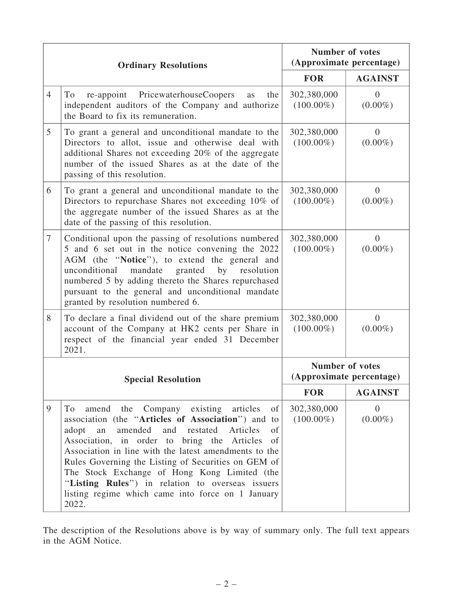| <b>Ordinary Resolutions</b> |                                                                                                                                                                                                                                                                                                                                                                                                                                                                                                             | <b>Number of votes</b><br>(Approximate percentage) |                              |
|-----------------------------|-------------------------------------------------------------------------------------------------------------------------------------------------------------------------------------------------------------------------------------------------------------------------------------------------------------------------------------------------------------------------------------------------------------------------------------------------------------------------------------------------------------|----------------------------------------------------|------------------------------|
|                             |                                                                                                                                                                                                                                                                                                                                                                                                                                                                                                             | <b>FOR</b>                                         | <b>AGAINST</b>               |
| $\overline{4}$              | re-appoint PricewaterhouseCoopers<br>To<br>the<br>as<br>independent auditors of the Company and authorize<br>the Board to fix its remuneration.                                                                                                                                                                                                                                                                                                                                                             | 302,380,000<br>$(100.00\%)$                        | $\overline{0}$<br>$(0.00\%)$ |
| 5                           | To grant a general and unconditional mandate to the<br>Directors to allot, issue and otherwise deal with<br>additional Shares not exceeding 20% of the aggregate<br>number of the issued Shares as at the date of the<br>passing of this resolution.                                                                                                                                                                                                                                                        | 302,380,000<br>$(100.00\%)$                        | $\overline{0}$<br>$(0.00\%)$ |
| 6                           | To grant a general and unconditional mandate to the<br>Directors to repurchase Shares not exceeding 10% of<br>the aggregate number of the issued Shares as at the<br>date of the passing of this resolution.                                                                                                                                                                                                                                                                                                | 302,380,000<br>$(100.00\%)$                        | $\overline{0}$<br>$(0.00\%)$ |
| 7                           | Conditional upon the passing of resolutions numbered<br>5 and 6 set out in the notice convening the 2022<br>AGM (the "Notice"), to extend the general and<br>unconditional<br>mandate<br>granted<br>by<br>resolution<br>numbered 5 by adding thereto the Shares repurchased<br>pursuant to the general and unconditional mandate<br>granted by resolution numbered 6.                                                                                                                                       | 302,380,000<br>$(100.00\%)$                        | $\theta$<br>$(0.00\%)$       |
| 8                           | To declare a final dividend out of the share premium<br>account of the Company at HK2 cents per Share in<br>respect of the financial year ended 31 December<br>2021.                                                                                                                                                                                                                                                                                                                                        | 302,380,000<br>$(100.00\%)$                        | $\overline{0}$<br>$(0.00\%)$ |
|                             | <b>Special Resolution</b>                                                                                                                                                                                                                                                                                                                                                                                                                                                                                   | <b>Number of votes</b><br>(Approximate percentage) |                              |
|                             |                                                                                                                                                                                                                                                                                                                                                                                                                                                                                                             | <b>FOR</b>                                         | <b>AGAINST</b>               |
| 9                           | amend the Company existing articles<br>of<br>To<br>association (the "Articles of Association") and to<br>restated<br>Articles<br>adopt<br>amended<br>and<br>of<br>an<br>Association, in order to bring the Articles<br>of<br>Association in line with the latest amendments to the<br>Rules Governing the Listing of Securities on GEM of<br>The Stock Exchange of Hong Kong Limited (the<br>"Listing Rules") in relation to overseas issuers<br>listing regime which came into force on 1 January<br>2022. | 302,380,000<br>$(100.00\%)$                        | $\overline{0}$<br>$(0.00\%)$ |

The description of the Resolutions above is by way of summary only. The full text appears in the AGM Notice.